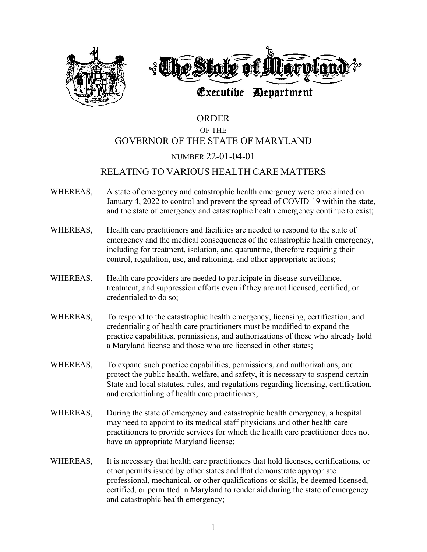

# ORDER OF THE GOVERNOR OF THE STATE OF MARYLAND NUMBER 22-01-04-01

# RELATING TO VARIOUS HEALTH CARE MATTERS

- WHEREAS, A state of emergency and catastrophic health emergency were proclaimed on January 4, 2022 to control and prevent the spread of COVID-19 within the state, and the state of emergency and catastrophic health emergency continue to exist;
- WHEREAS, Health care practitioners and facilities are needed to respond to the state of emergency and the medical consequences of the catastrophic health emergency, including for treatment, isolation, and quarantine, therefore requiring their control, regulation, use, and rationing, and other appropriate actions;
- WHEREAS, Health care providers are needed to participate in disease surveillance, treatment, and suppression efforts even if they are not licensed, certified, or credentialed to do so;
- WHEREAS, To respond to the catastrophic health emergency, licensing, certification, and credentialing of health care practitioners must be modified to expand the practice capabilities, permissions, and authorizations of those who already hold a Maryland license and those who are licensed in other states;
- WHEREAS, To expand such practice capabilities, permissions, and authorizations, and protect the public health, welfare, and safety, it is necessary to suspend certain State and local statutes, rules, and regulations regarding licensing, certification, and credentialing of health care practitioners;
- WHEREAS, During the state of emergency and catastrophic health emergency, a hospital may need to appoint to its medical staff physicians and other health care practitioners to provide services for which the health care practitioner does not have an appropriate Maryland license;
- WHEREAS, It is necessary that health care practitioners that hold licenses, certifications, or other permits issued by other states and that demonstrate appropriate professional, mechanical, or other qualifications or skills, be deemed licensed, certified, or permitted in Maryland to render aid during the state of emergency and catastrophic health emergency;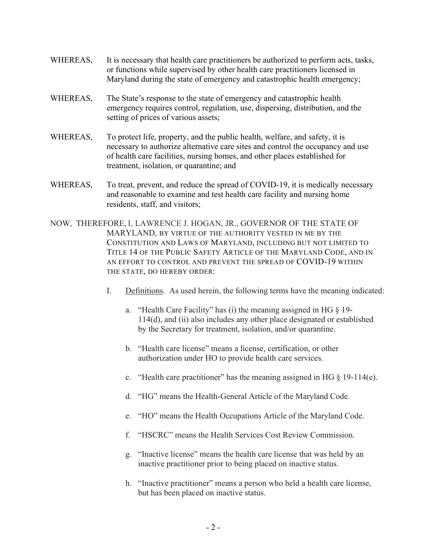- WHEREAS, It is necessary that health care practitioners be authorized to perform acts, tasks, or functions while supervised by other health care practitioners licensed in Maryland during the state of emergency and catastrophic health emergency;
- WHEREAS, The State's response to the state of emergency and catastrophic health emergency requires control, regulation, use, dispersing, distribution, and the setting of prices of various assets;
- WHEREAS, To protect life, property, and the public health, welfare, and safety, it is necessary to authorize alternative care sites and control the occupancy and use of health care facilities, nursing homes, and other places established for treatment, isolation, or quarantine; and
- WHEREAS, To treat, prevent, and reduce the spread of COVID-19, it is medically necessary and reasonable to examine and test health care facility and nursing home residents, staff, and visitors;
- NOW, THEREFORE, I, LAWRENCE J. HOGAN, JR., GOVERNOR OF THE STATE OF MARYLAND, BY VIRTUE OF THE AUTHORITY VESTED IN ME BY THE CONSTITUTION AND LAWS OF MARYLAND, INCLUDING BUT NOT LIMITED TO TITLE 14 OF THE PUBLIC SAFETY ARTICLE OF THE MARYLAND CODE, AND IN AN EFFORT TO CONTROL AND PREVENT THE SPREAD OF COVID-19 WITHIN THE STATE, DO HEREBY ORDER:
	- I. Definitions. As used herein, the following terms have the meaning indicated:
		- a. "Health Care Facility" has (i) the meaning assigned in HG § 19- 114(d), and (ii) also includes any other place designated or established by the Secretary for treatment, isolation, and/or quarantine.
		- b. "Health care license" means a license, certification, or other authorization under HO to provide health care services.
		- c. "Health care practitioner" has the meaning assigned in HG  $\S$  19-114(e).
		- d. "HG" means the Health-General Article of the Maryland Code.
		- e. "HO" means the Health Occupations Article of the Maryland Code.
		- f. "HSCRC" means the Health Services Cost Review Commission.
		- g. "Inactive license" means the health care license that was held by an inactive practitioner prior to being placed on inactive status.
		- h. "Inactive practitioner" means a person who held a health care license, but has been placed on inactive status.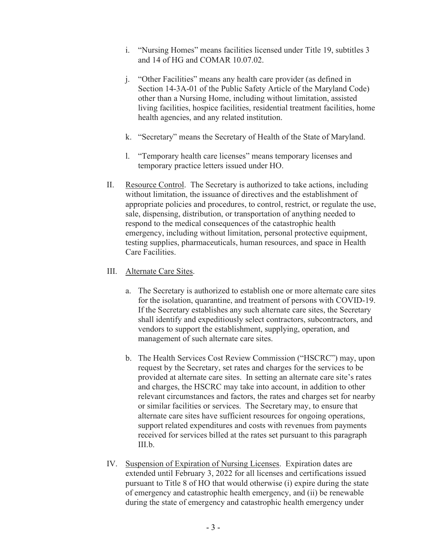- i. "Nursing Homes" means facilities licensed under Title 19, subtitles 3 and 14 of HG and COMAR 10.07.02.
- j. "Other Facilities" means any health care provider (as defined in Section 14-3A-01 of the Public Safety Article of the Maryland Code) other than a Nursing Home, including without limitation, assisted living facilities, hospice facilities, residential treatment facilities, home health agencies, and any related institution.
- k. "Secretary" means the Secretary of Health of the State of Maryland.
- l. "Temporary health care licenses" means temporary licenses and temporary practice letters issued under HO.
- II. Resource Control. The Secretary is authorized to take actions, including without limitation, the issuance of directives and the establishment of appropriate policies and procedures, to control, restrict, or regulate the use, sale, dispensing, distribution, or transportation of anything needed to respond to the medical consequences of the catastrophic health emergency, including without limitation, personal protective equipment, testing supplies, pharmaceuticals, human resources, and space in Health Care Facilities.
- III. Alternate Care Sites.
	- a. The Secretary is authorized to establish one or more alternate care sites for the isolation, quarantine, and treatment of persons with COVID-19. If the Secretary establishes any such alternate care sites, the Secretary shall identify and expeditiously select contractors, subcontractors, and vendors to support the establishment, supplying, operation, and management of such alternate care sites.
	- b. The Health Services Cost Review Commission ("HSCRC") may, upon request by the Secretary, set rates and charges for the services to be provided at alternate care sites. In setting an alternate care site's rates and charges, the HSCRC may take into account, in addition to other relevant circumstances and factors, the rates and charges set for nearby or similar facilities or services. The Secretary may, to ensure that alternate care sites have sufficient resources for ongoing operations, support related expenditures and costs with revenues from payments received for services billed at the rates set pursuant to this paragraph III.b.
- IV. Suspension of Expiration of Nursing Licenses. Expiration dates are extended until February 3, 2022 for all licenses and certifications issued pursuant to Title 8 of HO that would otherwise (i) expire during the state of emergency and catastrophic health emergency, and (ii) be renewable during the state of emergency and catastrophic health emergency under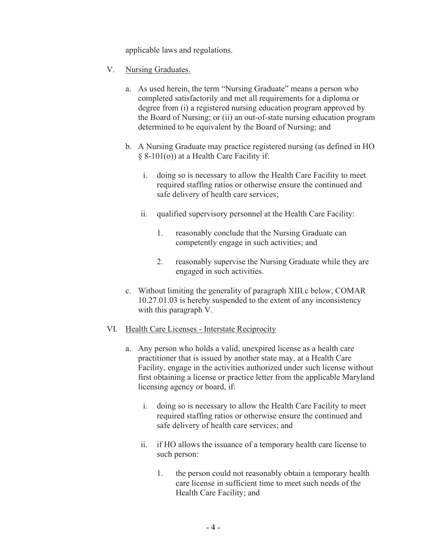applicable laws and regulations.

- V. Nursing Graduates.
	- a. As used herein, the term "Nursing Graduate" means a person who completed satisfactorily and met all requirements for a diploma or degree from (i) a registered nursing education program approved by the Board of Nursing; or (ii) an out-of-state nursing education program determined to be equivalent by the Board of Nursing; and
	- b. A Nursing Graduate may practice registered nursing (as defined in HO § 8-101(o)) at a Health Care Facility if:
		- i. doing so is necessary to allow the Health Care Facility to meet required staffing ratios or otherwise ensure the continued and safe delivery of health care services;
		- ii. qualified supervisory personnel at the Health Care Facility:
			- 1. reasonably conclude that the Nursing Graduate can competently engage in such activities; and
			- 2. reasonably supervise the Nursing Graduate while they are engaged in such activities.
	- c. Without limiting the generality of paragraph XIII.c below, COMAR 10.27.01.03 is hereby suspended to the extent of any inconsistency with this paragraph V.
- VI. Health Care Licenses Interstate Reciprocity
	- a. Any person who holds a valid, unexpired license as a health care practitioner that is issued by another state may, at a Health Care Facility, engage in the activities authorized under such license without first obtaining a license or practice letter from the applicable Maryland licensing agency or board, if:
		- i. doing so is necessary to allow the Health Care Facility to meet required staffing ratios or otherwise ensure the continued and safe delivery of health care services; and
		- ii. if HO allows the issuance of a temporary health care license to such person:
			- 1. the person could not reasonably obtain a temporary health care license in sufficient time to meet such needs of the Health Care Facility; and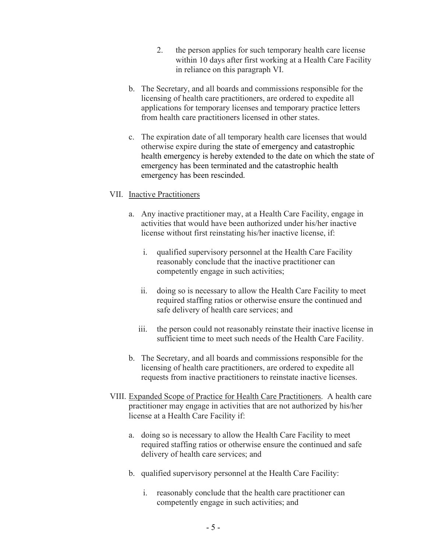- 2. the person applies for such temporary health care license within 10 days after first working at a Health Care Facility in reliance on this paragraph VI.
- b. The Secretary, and all boards and commissions responsible for the licensing of health care practitioners, are ordered to expedite all applications for temporary licenses and temporary practice letters from health care practitioners licensed in other states.
- c. The expiration date of all temporary health care licenses that would otherwise expire during the state of emergency and catastrophic health emergency is hereby extended to the date on which the state of emergency has been terminated and the catastrophic health emergency has been rescinded.

## VII. Inactive Practitioners

- a. Any inactive practitioner may, at a Health Care Facility, engage in activities that would have been authorized under his/her inactive license without first reinstating his/her inactive license, if:
	- i. qualified supervisory personnel at the Health Care Facility reasonably conclude that the inactive practitioner can competently engage in such activities;
	- ii. doing so is necessary to allow the Health Care Facility to meet required staffing ratios or otherwise ensure the continued and safe delivery of health care services; and
	- iii. the person could not reasonably reinstate their inactive license in sufficient time to meet such needs of the Health Care Facility.
- b. The Secretary, and all boards and commissions responsible for the licensing of health care practitioners, are ordered to expedite all requests from inactive practitioners to reinstate inactive licenses.
- VIII. Expanded Scope of Practice for Health Care Practitioners. A health care practitioner may engage in activities that are not authorized by his/her license at a Health Care Facility if:
	- a. doing so is necessary to allow the Health Care Facility to meet required staffing ratios or otherwise ensure the continued and safe delivery of health care services; and
	- b. qualified supervisory personnel at the Health Care Facility:
		- i. reasonably conclude that the health care practitioner can competently engage in such activities; and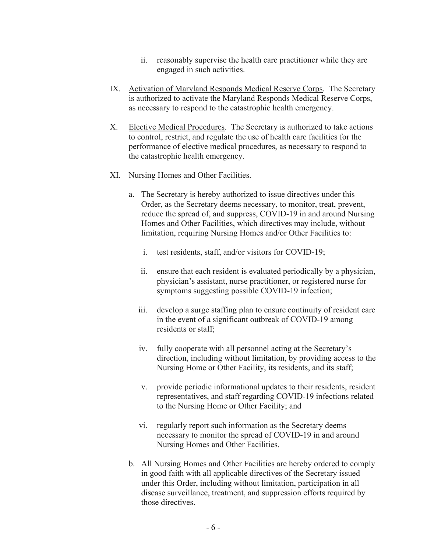- ii. reasonably supervise the health care practitioner while they are engaged in such activities.
- IX. Activation of Maryland Responds Medical Reserve Corps. The Secretary is authorized to activate the Maryland Responds Medical Reserve Corps, as necessary to respond to the catastrophic health emergency.
- X. Elective Medical Procedures. The Secretary is authorized to take actions to control, restrict, and regulate the use of health care facilities for the performance of elective medical procedures, as necessary to respond to the catastrophic health emergency.
- XI. Nursing Homes and Other Facilities.
	- a. The Secretary is hereby authorized to issue directives under this Order, as the Secretary deems necessary, to monitor, treat, prevent, reduce the spread of, and suppress, COVID-19 in and around Nursing Homes and Other Facilities, which directives may include, without limitation, requiring Nursing Homes and/or Other Facilities to:
		- i. test residents, staff, and/or visitors for COVID-19;
		- ii. ensure that each resident is evaluated periodically by a physician, physician's assistant, nurse practitioner, or registered nurse for symptoms suggesting possible COVID-19 infection;
		- iii. develop a surge staffing plan to ensure continuity of resident care in the event of a significant outbreak of COVID-19 among residents or staff;
		- iv. fully cooperate with all personnel acting at the Secretary's direction, including without limitation, by providing access to the Nursing Home or Other Facility, its residents, and its staff;
		- v. provide periodic informational updates to their residents, resident representatives, and staff regarding COVID-19 infections related to the Nursing Home or Other Facility; and
		- vi. regularly report such information as the Secretary deems necessary to monitor the spread of COVID-19 in and around Nursing Homes and Other Facilities.
	- b. All Nursing Homes and Other Facilities are hereby ordered to comply in good faith with all applicable directives of the Secretary issued under this Order, including without limitation, participation in all disease surveillance, treatment, and suppression efforts required by those directives.